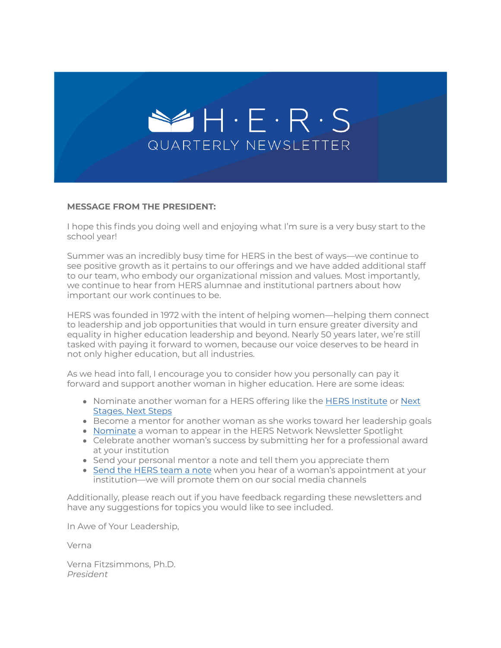

#### **MESSAGE FROM THE PRESIDENT:**

I hope this finds you doing well and enjoying what I'm sure is a very busy start to the school year!

Summer was an incredibly busy time for HERS in the best of ways—we continue to see positive growth as it pertains to our offerings and we have added additional staff to our team, who embody our organizational mission and values. Most importantly, we continue to hear from HERS alumnae and institutional partners about how important our work continues to be.

HERS was founded in 1972 with the intent of helping women—helping them connect to leadership and job opportunities that would in turn ensure greater diversity and equality in higher education leadership and beyond. Nearly 50 years later, we're still tasked with paying it forward to women, because our voice deserves to be heard in not only higher education, but all industries.

As we head into fall, I encourage you to consider how you personally can pay it forward and support another woman in higher education. Here are some ideas:

- Nominate another woman for a HERS offering like the [HERS Institute](https://suite.targetx.com/suite4sf/email/bin/redir.php?id=TMS-test_recipient_id&link=https%253A//hersnet.secure.force.com/form%253Fformid%253D217783) or Next Stages, Next Steps
- Become a mentor for another woman as she works toward her leadership goals
- [Nominate](https://suite.targetx.com/suite4sf/email/bin/redir.php?id=TMS-test_recipient_id&link=https%253A//www.hersnetwork.org/contact/) a woman to appear in the HERS Network Newsletter Spotlight
- [Celebrate another woman's success by submitting her for a professional awar](https://suite.targetx.com/suite4sf/email/bin/redir.php?id=TMS-test_recipient_id&link=https%253A//hers.tfaforms.net/217788)d at your institution
- Send your personal mentor a note and tell them you appreciate them
- [Send the HERS team a note](https://suite.targetx.com/suite4sf/email/bin/redir.php?id=TMS-test_recipient_id&link=https%253A//www.hersnetwork.org/contact/) when you hear of a woman's appointment at your institution—we will promote them on our social media channels

Additionally, please reach out if you have feedback regarding these newsletters and have any suggestions for topics you would like to see included.

In Awe of Your Leadership,

Verna

Verna Fitzsimmons, Ph.D. *President*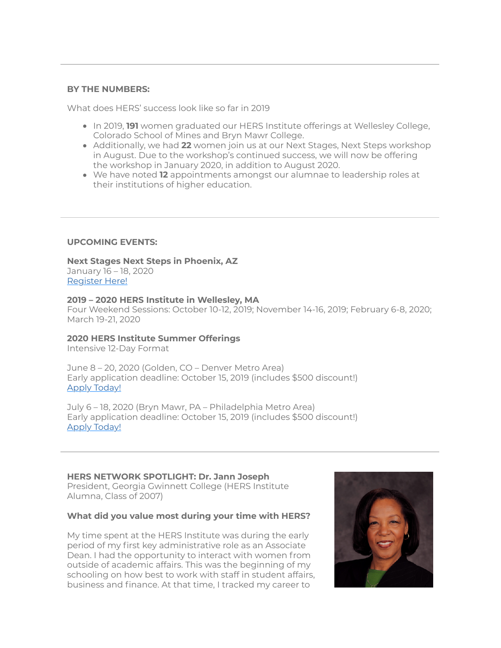#### **BY THE NUMBERS:**

What does HERS' success look like so far in 2019

- **In 2019, 191** women graduated our HERS Institute offerings at Wellesley College, Colorado School of Mines and Bryn Mawr College.
- Additionally, we had **22** women join us at our Next Stages, Next Steps workshop in August. Due to the workshop's continued success, we will now be offering the workshop in January 2020, in addition to August 2020.
- We have noted **12** appointments amongst our alumnae to leadership roles at their institutions of higher education.

## **UPCOMING EVENTS:**

# **Next Stages Next Steps in Phoenix, AZ**

January 16 – 18, 2020 [Register Here!](https://suite.targetx.com/suite4sf/email/bin/redir.php?id=TMS-test_recipient_id&link=http%253A//hersnet.force.com/Events/targetX_eventsb__events%2523/esr%253Feid%253Da0u1Q000009R76pQAC)

#### **2019 – 2020 HERS Institute in Wellesley, MA**

Four Weekend Sessions: October 10-12, 2019; November 14-16, 2019; February 6-8, 2020; March 19-21, 2020

## **2020 HERS Institute Summer Offerings**

Intensive 12-Day Format

June 8 – 20, 2020 (Golden, CO – Denver Metro Area) Early application deadline: October 15, 2019 (includes \$500 discount!) [Apply Today!](https://suite.targetx.com/suite4sf/email/bin/redir.php?id=TMS-test_recipient_id&link=https%253A//hers.force.com/TX_SiteLogin%253FstartURL%253D%25252FTargetX_Portal__PB)

July 6 – 18, 2020 (Bryn Mawr, PA – Philadelphia Metro Area) Early application deadline: October 15, 2019 (includes \$500 discount!) [Apply Today!](https://suite.targetx.com/suite4sf/email/bin/redir.php?id=TMS-test_recipient_id&link=https%253A//hers.force.com/TX_SiteLogin%253FstartURL%253D%25252FTargetX_Portal__PB)

## **HERS NETWORK SPOTLIGHT: Dr. Jann Joseph**

President, Georgia Gwinnett College (HERS Institute Alumna, Class of 2007)

## **What did you value most during your time with HERS?**

My time spent at the HERS Institute was during the early period of my first key administrative role as an Associate Dean. I had the opportunity to interact with women from outside of academic affairs. This was the beginning of my schooling on how best to work with staff in student affairs, business and finance. At that time, I tracked my career to

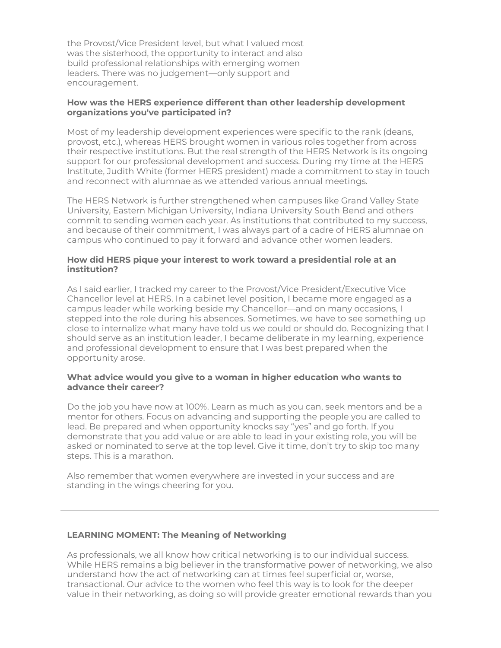the Provost/Vice President level, but what I valued most was the sisterhood, the opportunity to interact and also build professional relationships with emerging women leaders. There was no judgement—only support and encouragement.

## **How was the HERS experience different than other leadership development organizations you've participated in?**

Most of my leadership development experiences were specific to the rank (deans, provost, etc.), whereas HERS brought women in various roles together from across their respective institutions. But the real strength of the HERS Network is its ongoing support for our professional development and success. During my time at the HERS Institute, Judith White (former HERS president) made a commitment to stay in touch and reconnect with alumnae as we attended various annual meetings.

The HERS Network is further strengthened when campuses like Grand Valley State University, Eastern Michigan University, Indiana University South Bend and others commit to sending women each year. As institutions that contributed to my success, and because of their commitment, I was always part of a cadre of HERS alumnae on campus who continued to pay it forward and advance other women leaders.

## **How did HERS pique your interest to work toward a presidential role at an institution?**

As I said earlier, I tracked my career to the Provost/Vice President/Executive Vice Chancellor level at HERS. In a cabinet level position, I became more engaged as a campus leader while working beside my Chancellor—and on many occasions, I stepped into the role during his absences. Sometimes, we have to see something up close to internalize what many have told us we could or should do. Recognizing that I should serve as an institution leader, I became deliberate in my learning, experience and professional development to ensure that I was best prepared when the opportunity arose.

## **What advice would you give to a woman in higher education who wants to advance their career?**

Do the job you have now at 100%. Learn as much as you can, seek mentors and be a mentor for others. Focus on advancing and supporting the people you are called to lead. Be prepared and when opportunity knocks say "yes" and go forth. If you demonstrate that you add value or are able to lead in your existing role, you will be asked or nominated to serve at the top level. Give it time, don't try to skip too many steps. This is a marathon.

Also remember that women everywhere are invested in your success and are standing in the wings cheering for you.

# **LEARNING MOMENT: The Meaning of Networking**

As professionals, we all know how critical networking is to our individual success. While HERS remains a big believer in the transformative power of networking, we also understand how the act of networking can at times feel superficial or, worse, transactional. Our advice to the women who feel this way is to look for the deeper value in their networking, as doing so will provide greater emotional rewards than you